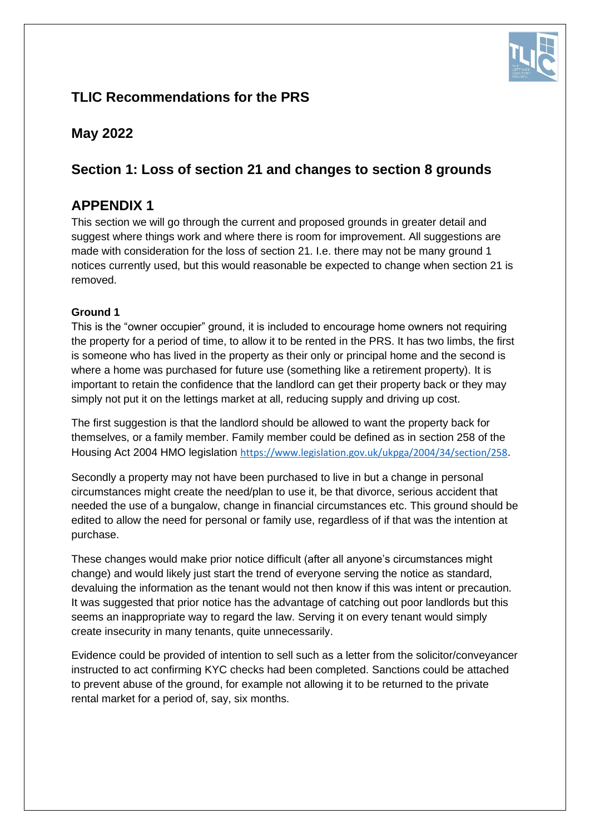

# **TLIC Recommendations for the PRS**

# **May 2022**

# **Section 1: Loss of section 21 and changes to section 8 grounds**

# **APPENDIX 1**

This section we will go through the current and proposed grounds in greater detail and suggest where things work and where there is room for improvement. All suggestions are made with consideration for the loss of section 21. I.e. there may not be many ground 1 notices currently used, but this would reasonable be expected to change when section 21 is removed.

# **Ground 1**

This is the "owner occupier" ground, it is included to encourage home owners not requiring the property for a period of time, to allow it to be rented in the PRS. It has two limbs, the first is someone who has lived in the property as their only or principal home and the second is where a home was purchased for future use (something like a retirement property). It is important to retain the confidence that the landlord can get their property back or they may simply not put it on the lettings market at all, reducing supply and driving up cost.

The first suggestion is that the landlord should be allowed to want the property back for themselves, or a family member. Family member could be defined as in section 258 of the Housing Act 2004 HMO legislation <https://www.legislation.gov.uk/ukpga/2004/34/section/258>.

Secondly a property may not have been purchased to live in but a change in personal circumstances might create the need/plan to use it, be that divorce, serious accident that needed the use of a bungalow, change in financial circumstances etc. This ground should be edited to allow the need for personal or family use, regardless of if that was the intention at purchase.

These changes would make prior notice difficult (after all anyone's circumstances might change) and would likely just start the trend of everyone serving the notice as standard, devaluing the information as the tenant would not then know if this was intent or precaution. It was suggested that prior notice has the advantage of catching out poor landlords but this seems an inappropriate way to regard the law. Serving it on every tenant would simply create insecurity in many tenants, quite unnecessarily.

Evidence could be provided of intention to sell such as a letter from the solicitor/conveyancer instructed to act confirming KYC checks had been completed. Sanctions could be attached to prevent abuse of the ground, for example not allowing it to be returned to the private rental market for a period of, say, six months.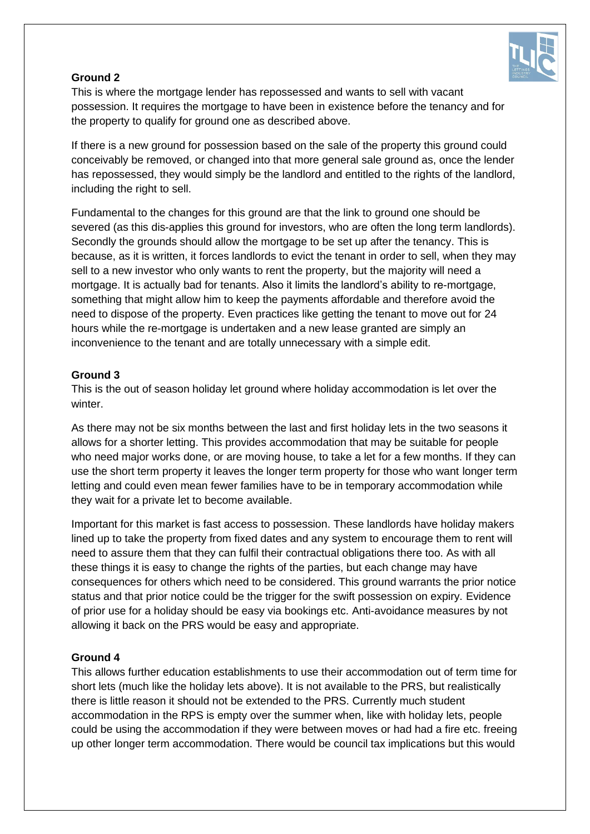

# **Ground 2**

This is where the mortgage lender has repossessed and wants to sell with vacant possession. It requires the mortgage to have been in existence before the tenancy and for the property to qualify for ground one as described above.

If there is a new ground for possession based on the sale of the property this ground could conceivably be removed, or changed into that more general sale ground as, once the lender has repossessed, they would simply be the landlord and entitled to the rights of the landlord, including the right to sell.

Fundamental to the changes for this ground are that the link to ground one should be severed (as this dis-applies this ground for investors, who are often the long term landlords). Secondly the grounds should allow the mortgage to be set up after the tenancy. This is because, as it is written, it forces landlords to evict the tenant in order to sell, when they may sell to a new investor who only wants to rent the property, but the majority will need a mortgage. It is actually bad for tenants. Also it limits the landlord's ability to re-mortgage, something that might allow him to keep the payments affordable and therefore avoid the need to dispose of the property. Even practices like getting the tenant to move out for 24 hours while the re-mortgage is undertaken and a new lease granted are simply an inconvenience to the tenant and are totally unnecessary with a simple edit.

# **Ground 3**

This is the out of season holiday let ground where holiday accommodation is let over the winter.

As there may not be six months between the last and first holiday lets in the two seasons it allows for a shorter letting. This provides accommodation that may be suitable for people who need major works done, or are moving house, to take a let for a few months. If they can use the short term property it leaves the longer term property for those who want longer term letting and could even mean fewer families have to be in temporary accommodation while they wait for a private let to become available.

Important for this market is fast access to possession. These landlords have holiday makers lined up to take the property from fixed dates and any system to encourage them to rent will need to assure them that they can fulfil their contractual obligations there too. As with all these things it is easy to change the rights of the parties, but each change may have consequences for others which need to be considered. This ground warrants the prior notice status and that prior notice could be the trigger for the swift possession on expiry. Evidence of prior use for a holiday should be easy via bookings etc. Anti-avoidance measures by not allowing it back on the PRS would be easy and appropriate.

# **Ground 4**

This allows further education establishments to use their accommodation out of term time for short lets (much like the holiday lets above). It is not available to the PRS, but realistically there is little reason it should not be extended to the PRS. Currently much student accommodation in the RPS is empty over the summer when, like with holiday lets, people could be using the accommodation if they were between moves or had had a fire etc. freeing up other longer term accommodation. There would be council tax implications but this would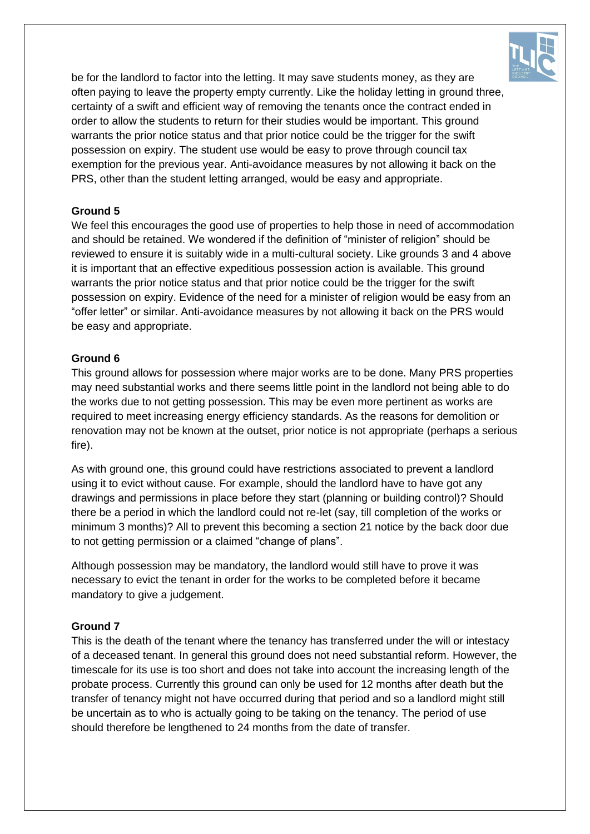

be for the landlord to factor into the letting. It may save students money, as they are often paying to leave the property empty currently. Like the holiday letting in ground three, certainty of a swift and efficient way of removing the tenants once the contract ended in order to allow the students to return for their studies would be important. This ground warrants the prior notice status and that prior notice could be the trigger for the swift possession on expiry. The student use would be easy to prove through council tax exemption for the previous year. Anti-avoidance measures by not allowing it back on the PRS, other than the student letting arranged, would be easy and appropriate.

# **Ground 5**

We feel this encourages the good use of properties to help those in need of accommodation and should be retained. We wondered if the definition of "minister of religion" should be reviewed to ensure it is suitably wide in a multi-cultural society. Like grounds 3 and 4 above it is important that an effective expeditious possession action is available. This ground warrants the prior notice status and that prior notice could be the trigger for the swift possession on expiry. Evidence of the need for a minister of religion would be easy from an "offer letter" or similar. Anti-avoidance measures by not allowing it back on the PRS would be easy and appropriate.

#### **Ground 6**

This ground allows for possession where major works are to be done. Many PRS properties may need substantial works and there seems little point in the landlord not being able to do the works due to not getting possession. This may be even more pertinent as works are required to meet increasing energy efficiency standards. As the reasons for demolition or renovation may not be known at the outset, prior notice is not appropriate (perhaps a serious fire).

As with ground one, this ground could have restrictions associated to prevent a landlord using it to evict without cause. For example, should the landlord have to have got any drawings and permissions in place before they start (planning or building control)? Should there be a period in which the landlord could not re-let (say, till completion of the works or minimum 3 months)? All to prevent this becoming a section 21 notice by the back door due to not getting permission or a claimed "change of plans".

Although possession may be mandatory, the landlord would still have to prove it was necessary to evict the tenant in order for the works to be completed before it became mandatory to give a judgement.

#### **Ground 7**

This is the death of the tenant where the tenancy has transferred under the will or intestacy of a deceased tenant. In general this ground does not need substantial reform. However, the timescale for its use is too short and does not take into account the increasing length of the probate process. Currently this ground can only be used for 12 months after death but the transfer of tenancy might not have occurred during that period and so a landlord might still be uncertain as to who is actually going to be taking on the tenancy. The period of use should therefore be lengthened to 24 months from the date of transfer.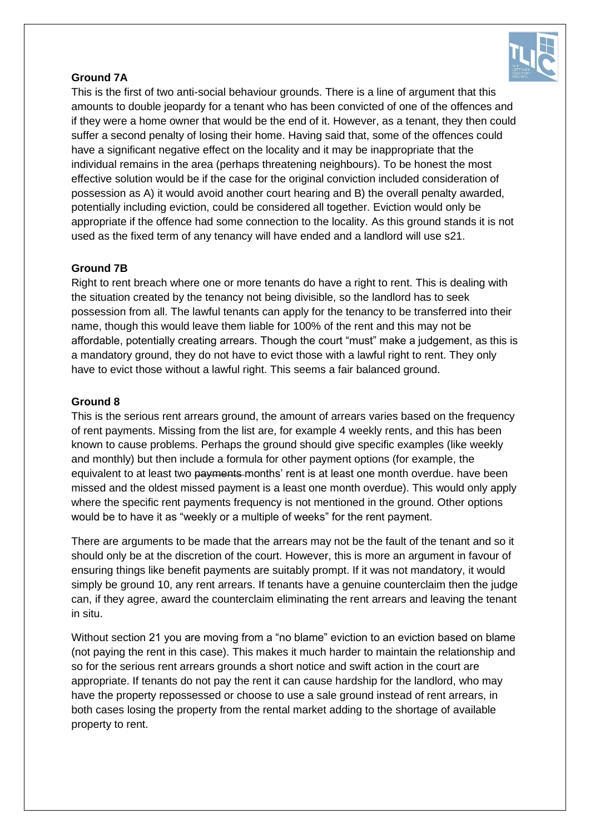

# **Ground 7A**

This is the first of two anti-social behaviour grounds. There is a line of argument that this amounts to double jeopardy for a tenant who has been convicted of one of the offences and if they were a home owner that would be the end of it. However, as a tenant, they then could suffer a second penalty of losing their home. Having said that, some of the offences could have a significant negative effect on the locality and it may be inappropriate that the individual remains in the area (perhaps threatening neighbours). To be honest the most effective solution would be if the case for the original conviction included consideration of possession as A) it would avoid another court hearing and B) the overall penalty awarded, potentially including eviction, could be considered all together. Eviction would only be appropriate if the offence had some connection to the locality. As this ground stands it is not used as the fixed term of any tenancy will have ended and a landlord will use s21.

# **Ground 7B**

Right to rent breach where one or more tenants do have a right to rent. This is dealing with the situation created by the tenancy not being divisible, so the landlord has to seek possession from all. The lawful tenants can apply for the tenancy to be transferred into their name, though this would leave them liable for 100% of the rent and this may not be affordable, potentially creating arrears. Though the court "must" make a judgement, as this is a mandatory ground, they do not have to evict those with a lawful right to rent. They only have to evict those without a lawful right. This seems a fair balanced ground.

# **Ground 8**

This is the serious rent arrears ground, the amount of arrears varies based on the frequency of rent payments. Missing from the list are, for example 4 weekly rents, and this has been known to cause problems. Perhaps the ground should give specific examples (like weekly and monthly) but then include a formula for other payment options (for example, the equivalent to at least two payments months' rent is at least one month overdue. have been missed and the oldest missed payment is a least one month overdue). This would only apply where the specific rent payments frequency is not mentioned in the ground. Other options would be to have it as "weekly or a multiple of weeks" for the rent payment.

There are arguments to be made that the arrears may not be the fault of the tenant and so it should only be at the discretion of the court. However, this is more an argument in favour of ensuring things like benefit payments are suitably prompt. If it was not mandatory, it would simply be ground 10, any rent arrears. If tenants have a genuine counterclaim then the judge can, if they agree, award the counterclaim eliminating the rent arrears and leaving the tenant in situ.

Without section 21 you are moving from a "no blame" eviction to an eviction based on blame (not paying the rent in this case). This makes it much harder to maintain the relationship and so for the serious rent arrears grounds a short notice and swift action in the court are appropriate. If tenants do not pay the rent it can cause hardship for the landlord, who may have the property repossessed or choose to use a sale ground instead of rent arrears, in both cases losing the property from the rental market adding to the shortage of available property to rent.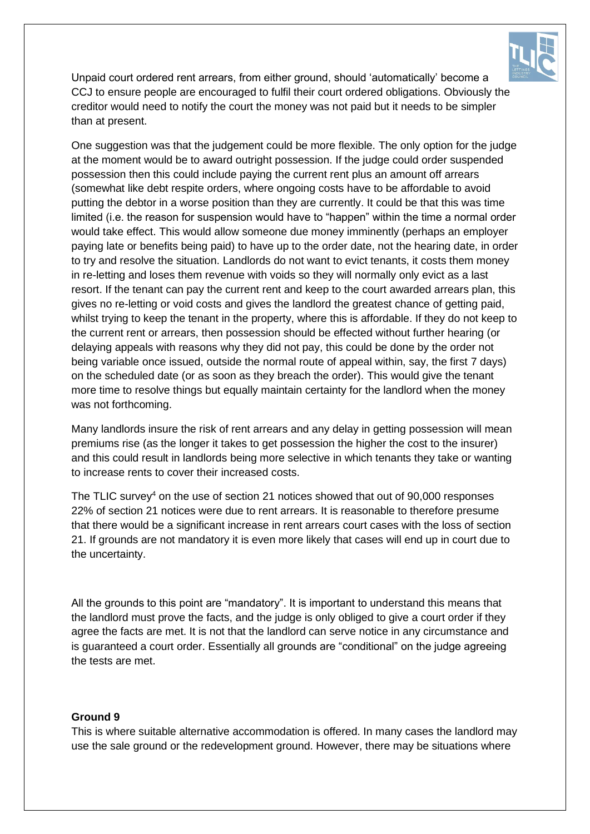

Unpaid court ordered rent arrears, from either ground, should 'automatically' become a CCJ to ensure people are encouraged to fulfil their court ordered obligations. Obviously the creditor would need to notify the court the money was not paid but it needs to be simpler than at present.

One suggestion was that the judgement could be more flexible. The only option for the judge at the moment would be to award outright possession. If the judge could order suspended possession then this could include paying the current rent plus an amount off arrears (somewhat like debt respite orders, where ongoing costs have to be affordable to avoid putting the debtor in a worse position than they are currently. It could be that this was time limited (i.e. the reason for suspension would have to "happen" within the time a normal order would take effect. This would allow someone due money imminently (perhaps an employer paying late or benefits being paid) to have up to the order date, not the hearing date, in order to try and resolve the situation. Landlords do not want to evict tenants, it costs them money in re-letting and loses them revenue with voids so they will normally only evict as a last resort. If the tenant can pay the current rent and keep to the court awarded arrears plan, this gives no re-letting or void costs and gives the landlord the greatest chance of getting paid, whilst trying to keep the tenant in the property, where this is affordable. If they do not keep to the current rent or arrears, then possession should be effected without further hearing (or delaying appeals with reasons why they did not pay, this could be done by the order not being variable once issued, outside the normal route of appeal within, say, the first 7 days) on the scheduled date (or as soon as they breach the order). This would give the tenant more time to resolve things but equally maintain certainty for the landlord when the money was not forthcoming.

Many landlords insure the risk of rent arrears and any delay in getting possession will mean premiums rise (as the longer it takes to get possession the higher the cost to the insurer) and this could result in landlords being more selective in which tenants they take or wanting to increase rents to cover their increased costs.

The TLIC survey<sup>4</sup> on the use of section 21 notices showed that out of  $90,000$  responses 22% of section 21 notices were due to rent arrears. It is reasonable to therefore presume that there would be a significant increase in rent arrears court cases with the loss of section 21. If grounds are not mandatory it is even more likely that cases will end up in court due to the uncertainty.

All the grounds to this point are "mandatory". It is important to understand this means that the landlord must prove the facts, and the judge is only obliged to give a court order if they agree the facts are met. It is not that the landlord can serve notice in any circumstance and is guaranteed a court order. Essentially all grounds are "conditional" on the judge agreeing the tests are met.

#### **Ground 9**

This is where suitable alternative accommodation is offered. In many cases the landlord may use the sale ground or the redevelopment ground. However, there may be situations where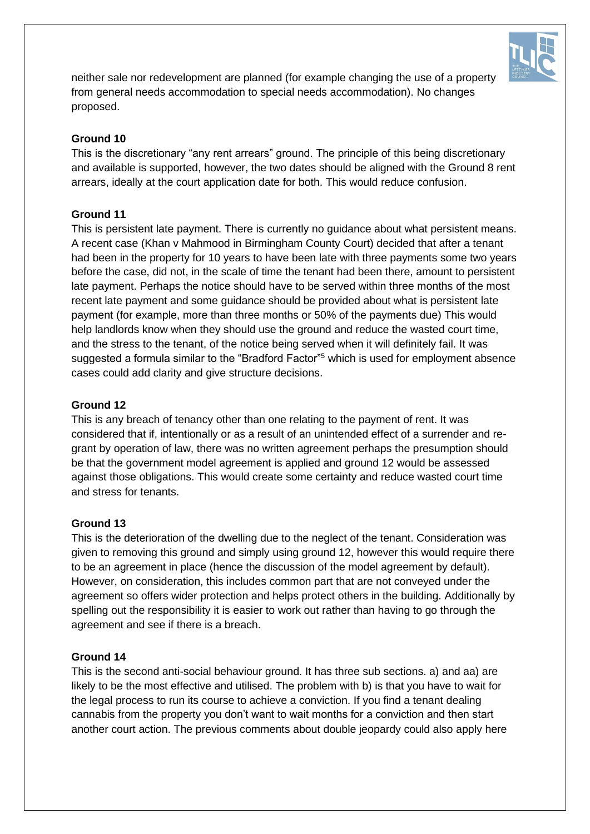

neither sale nor redevelopment are planned (for example changing the use of a property from general needs accommodation to special needs accommodation). No changes proposed.

# **Ground 10**

This is the discretionary "any rent arrears" ground. The principle of this being discretionary and available is supported, however, the two dates should be aligned with the Ground 8 rent arrears, ideally at the court application date for both. This would reduce confusion.

#### **Ground 11**

This is persistent late payment. There is currently no guidance about what persistent means. A recent case (Khan v Mahmood in Birmingham County Court) decided that after a tenant had been in the property for 10 years to have been late with three payments some two years before the case, did not, in the scale of time the tenant had been there, amount to persistent late payment. Perhaps the notice should have to be served within three months of the most recent late payment and some guidance should be provided about what is persistent late payment (for example, more than three months or 50% of the payments due) This would help landlords know when they should use the ground and reduce the wasted court time, and the stress to the tenant, of the notice being served when it will definitely fail. It was suggested a formula similar to the "Bradford Factor"<sup>5</sup> which is used for employment absence cases could add clarity and give structure decisions.

#### **Ground 12**

This is any breach of tenancy other than one relating to the payment of rent. It was considered that if, intentionally or as a result of an unintended effect of a surrender and regrant by operation of law, there was no written agreement perhaps the presumption should be that the government model agreement is applied and ground 12 would be assessed against those obligations. This would create some certainty and reduce wasted court time and stress for tenants.

# **Ground 13**

This is the deterioration of the dwelling due to the neglect of the tenant. Consideration was given to removing this ground and simply using ground 12, however this would require there to be an agreement in place (hence the discussion of the model agreement by default). However, on consideration, this includes common part that are not conveyed under the agreement so offers wider protection and helps protect others in the building. Additionally by spelling out the responsibility it is easier to work out rather than having to go through the agreement and see if there is a breach.

# **Ground 14**

This is the second anti-social behaviour ground. It has three sub sections. a) and aa) are likely to be the most effective and utilised. The problem with b) is that you have to wait for the legal process to run its course to achieve a conviction. If you find a tenant dealing cannabis from the property you don't want to wait months for a conviction and then start another court action. The previous comments about double jeopardy could also apply here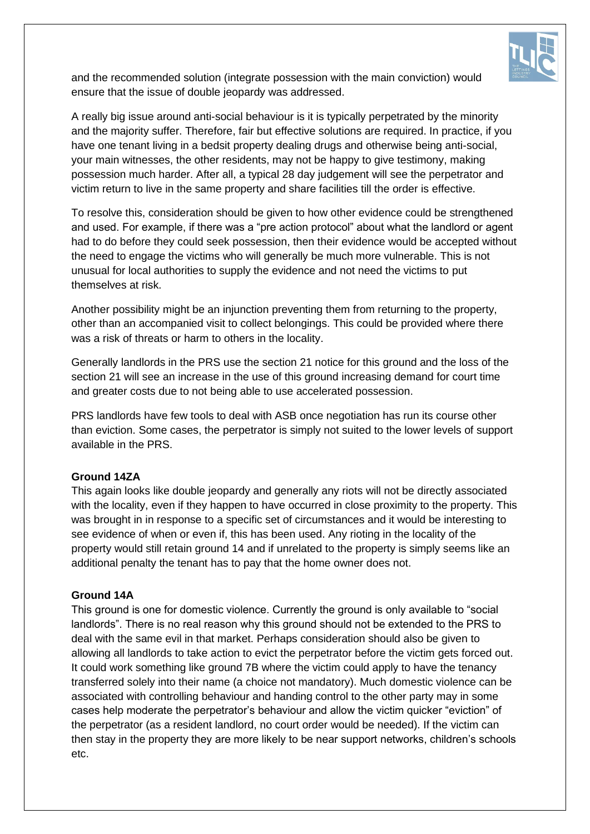

and the recommended solution (integrate possession with the main conviction) would ensure that the issue of double jeopardy was addressed.

A really big issue around anti-social behaviour is it is typically perpetrated by the minority and the majority suffer. Therefore, fair but effective solutions are required. In practice, if you have one tenant living in a bedsit property dealing drugs and otherwise being anti-social, your main witnesses, the other residents, may not be happy to give testimony, making possession much harder. After all, a typical 28 day judgement will see the perpetrator and victim return to live in the same property and share facilities till the order is effective.

To resolve this, consideration should be given to how other evidence could be strengthened and used. For example, if there was a "pre action protocol" about what the landlord or agent had to do before they could seek possession, then their evidence would be accepted without the need to engage the victims who will generally be much more vulnerable. This is not unusual for local authorities to supply the evidence and not need the victims to put themselves at risk.

Another possibility might be an injunction preventing them from returning to the property, other than an accompanied visit to collect belongings. This could be provided where there was a risk of threats or harm to others in the locality.

Generally landlords in the PRS use the section 21 notice for this ground and the loss of the section 21 will see an increase in the use of this ground increasing demand for court time and greater costs due to not being able to use accelerated possession.

PRS landlords have few tools to deal with ASB once negotiation has run its course other than eviction. Some cases, the perpetrator is simply not suited to the lower levels of support available in the PRS.

# **Ground 14ZA**

This again looks like double jeopardy and generally any riots will not be directly associated with the locality, even if they happen to have occurred in close proximity to the property. This was brought in in response to a specific set of circumstances and it would be interesting to see evidence of when or even if, this has been used. Any rioting in the locality of the property would still retain ground 14 and if unrelated to the property is simply seems like an additional penalty the tenant has to pay that the home owner does not.

#### **Ground 14A**

This ground is one for domestic violence. Currently the ground is only available to "social landlords". There is no real reason why this ground should not be extended to the PRS to deal with the same evil in that market. Perhaps consideration should also be given to allowing all landlords to take action to evict the perpetrator before the victim gets forced out. It could work something like ground 7B where the victim could apply to have the tenancy transferred solely into their name (a choice not mandatory). Much domestic violence can be associated with controlling behaviour and handing control to the other party may in some cases help moderate the perpetrator's behaviour and allow the victim quicker "eviction" of the perpetrator (as a resident landlord, no court order would be needed). If the victim can then stay in the property they are more likely to be near support networks, children's schools etc.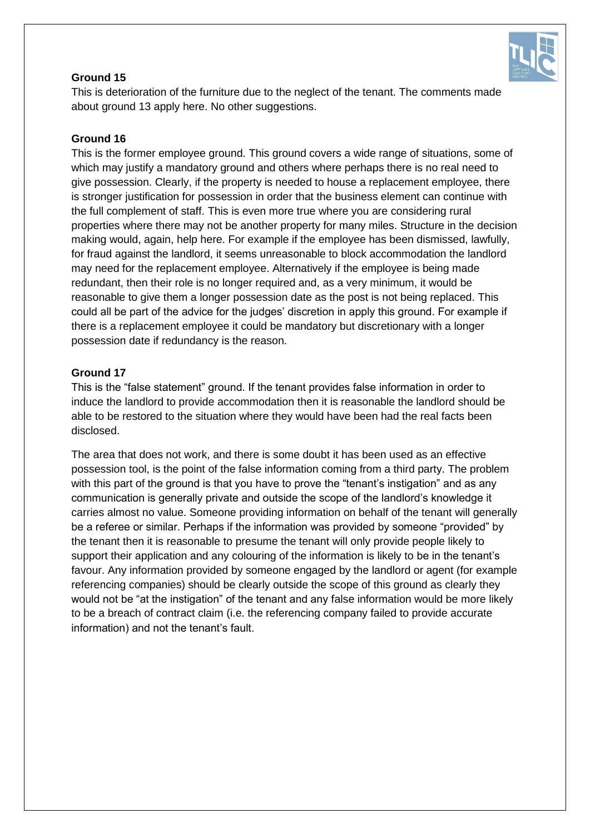

# **Ground 15**

This is deterioration of the furniture due to the neglect of the tenant. The comments made about ground 13 apply here. No other suggestions.

# **Ground 16**

This is the former employee ground. This ground covers a wide range of situations, some of which may justify a mandatory ground and others where perhaps there is no real need to give possession. Clearly, if the property is needed to house a replacement employee, there is stronger justification for possession in order that the business element can continue with the full complement of staff. This is even more true where you are considering rural properties where there may not be another property for many miles. Structure in the decision making would, again, help here. For example if the employee has been dismissed, lawfully, for fraud against the landlord, it seems unreasonable to block accommodation the landlord may need for the replacement employee. Alternatively if the employee is being made redundant, then their role is no longer required and, as a very minimum, it would be reasonable to give them a longer possession date as the post is not being replaced. This could all be part of the advice for the judges' discretion in apply this ground. For example if there is a replacement employee it could be mandatory but discretionary with a longer possession date if redundancy is the reason.

# **Ground 17**

This is the "false statement" ground. If the tenant provides false information in order to induce the landlord to provide accommodation then it is reasonable the landlord should be able to be restored to the situation where they would have been had the real facts been disclosed.

The area that does not work, and there is some doubt it has been used as an effective possession tool, is the point of the false information coming from a third party. The problem with this part of the ground is that you have to prove the "tenant's instigation" and as any communication is generally private and outside the scope of the landlord's knowledge it carries almost no value. Someone providing information on behalf of the tenant will generally be a referee or similar. Perhaps if the information was provided by someone "provided" by the tenant then it is reasonable to presume the tenant will only provide people likely to support their application and any colouring of the information is likely to be in the tenant's favour. Any information provided by someone engaged by the landlord or agent (for example referencing companies) should be clearly outside the scope of this ground as clearly they would not be "at the instigation" of the tenant and any false information would be more likely to be a breach of contract claim (i.e. the referencing company failed to provide accurate information) and not the tenant's fault.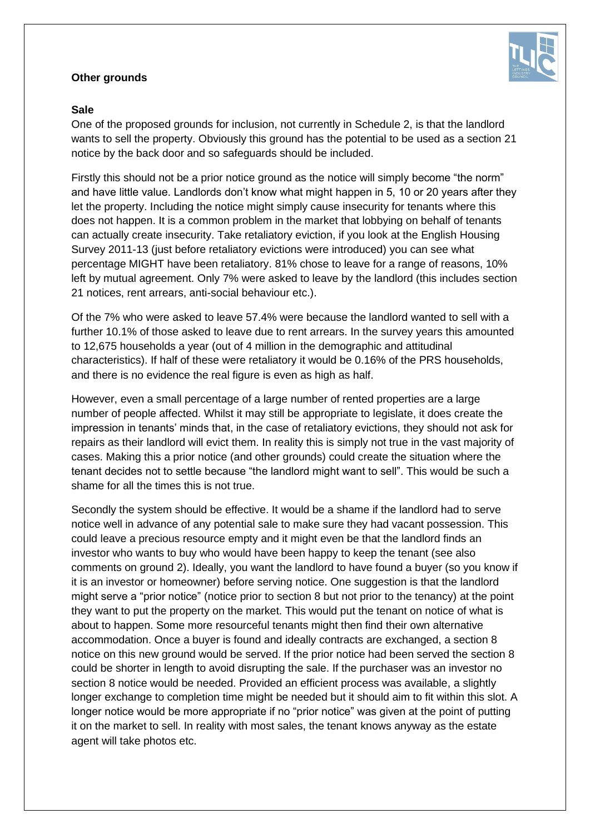#### **Other grounds**



### **Sale**

One of the proposed grounds for inclusion, not currently in Schedule 2, is that the landlord wants to sell the property. Obviously this ground has the potential to be used as a section 21 notice by the back door and so safeguards should be included.

Firstly this should not be a prior notice ground as the notice will simply become "the norm" and have little value. Landlords don't know what might happen in 5, 10 or 20 years after they let the property. Including the notice might simply cause insecurity for tenants where this does not happen. It is a common problem in the market that lobbying on behalf of tenants can actually create insecurity. Take retaliatory eviction, if you look at the English Housing Survey 2011-13 (just before retaliatory evictions were introduced) you can see what percentage MIGHT have been retaliatory. 81% chose to leave for a range of reasons, 10% left by mutual agreement. Only 7% were asked to leave by the landlord (this includes section 21 notices, rent arrears, anti-social behaviour etc.).

Of the 7% who were asked to leave 57.4% were because the landlord wanted to sell with a further 10.1% of those asked to leave due to rent arrears. In the survey years this amounted to 12,675 households a year (out of 4 million in the demographic and attitudinal characteristics). If half of these were retaliatory it would be 0.16% of the PRS households, and there is no evidence the real figure is even as high as half.

However, even a small percentage of a large number of rented properties are a large number of people affected. Whilst it may still be appropriate to legislate, it does create the impression in tenants' minds that, in the case of retaliatory evictions, they should not ask for repairs as their landlord will evict them. In reality this is simply not true in the vast majority of cases. Making this a prior notice (and other grounds) could create the situation where the tenant decides not to settle because "the landlord might want to sell". This would be such a shame for all the times this is not true.

Secondly the system should be effective. It would be a shame if the landlord had to serve notice well in advance of any potential sale to make sure they had vacant possession. This could leave a precious resource empty and it might even be that the landlord finds an investor who wants to buy who would have been happy to keep the tenant (see also comments on ground 2). Ideally, you want the landlord to have found a buyer (so you know if it is an investor or homeowner) before serving notice. One suggestion is that the landlord might serve a "prior notice" (notice prior to section 8 but not prior to the tenancy) at the point they want to put the property on the market. This would put the tenant on notice of what is about to happen. Some more resourceful tenants might then find their own alternative accommodation. Once a buyer is found and ideally contracts are exchanged, a section 8 notice on this new ground would be served. If the prior notice had been served the section 8 could be shorter in length to avoid disrupting the sale. If the purchaser was an investor no section 8 notice would be needed. Provided an efficient process was available, a slightly longer exchange to completion time might be needed but it should aim to fit within this slot. A longer notice would be more appropriate if no "prior notice" was given at the point of putting it on the market to sell. In reality with most sales, the tenant knows anyway as the estate agent will take photos etc.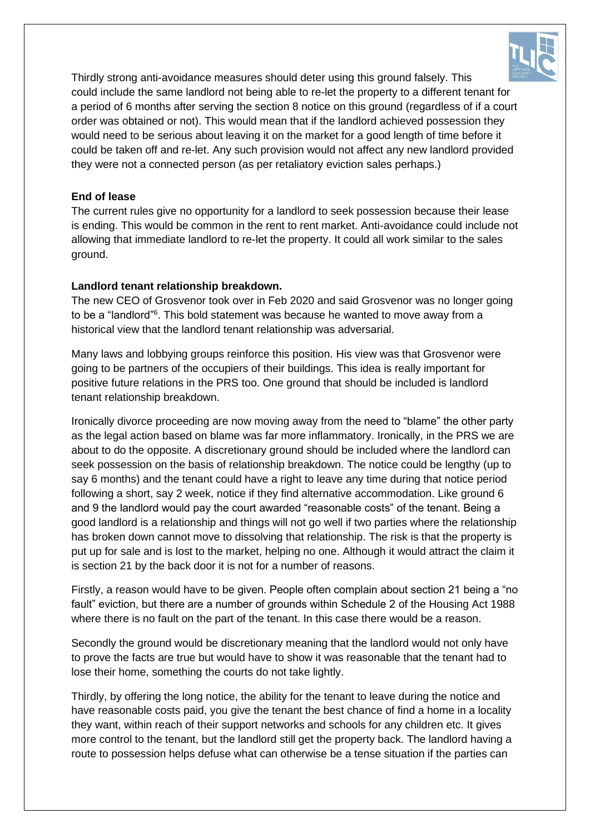

Thirdly strong anti-avoidance measures should deter using this ground falsely. This could include the same landlord not being able to re-let the property to a different tenant for a period of 6 months after serving the section 8 notice on this ground (regardless of if a court order was obtained or not). This would mean that if the landlord achieved possession they would need to be serious about leaving it on the market for a good length of time before it could be taken off and re-let. Any such provision would not affect any new landlord provided they were not a connected person (as per retaliatory eviction sales perhaps.)

# **End of lease**

The current rules give no opportunity for a landlord to seek possession because their lease is ending. This would be common in the rent to rent market. Anti-avoidance could include not allowing that immediate landlord to re-let the property. It could all work similar to the sales ground.

# **Landlord tenant relationship breakdown.**

The new CEO of Grosvenor took over in Feb 2020 and said Grosvenor was no longer going to be a "landlord"<sup>6</sup>. This bold statement was because he wanted to move away from a historical view that the landlord tenant relationship was adversarial.

Many laws and lobbying groups reinforce this position. His view was that Grosvenor were going to be partners of the occupiers of their buildings. This idea is really important for positive future relations in the PRS too. One ground that should be included is landlord tenant relationship breakdown.

Ironically divorce proceeding are now moving away from the need to "blame" the other party as the legal action based on blame was far more inflammatory. Ironically, in the PRS we are about to do the opposite. A discretionary ground should be included where the landlord can seek possession on the basis of relationship breakdown. The notice could be lengthy (up to say 6 months) and the tenant could have a right to leave any time during that notice period following a short, say 2 week, notice if they find alternative accommodation. Like ground 6 and 9 the landlord would pay the court awarded "reasonable costs" of the tenant. Being a good landlord is a relationship and things will not go well if two parties where the relationship has broken down cannot move to dissolving that relationship. The risk is that the property is put up for sale and is lost to the market, helping no one. Although it would attract the claim it is section 21 by the back door it is not for a number of reasons.

Firstly, a reason would have to be given. People often complain about section 21 being a "no fault" eviction, but there are a number of grounds within Schedule 2 of the Housing Act 1988 where there is no fault on the part of the tenant. In this case there would be a reason.

Secondly the ground would be discretionary meaning that the landlord would not only have to prove the facts are true but would have to show it was reasonable that the tenant had to lose their home, something the courts do not take lightly.

Thirdly, by offering the long notice, the ability for the tenant to leave during the notice and have reasonable costs paid, you give the tenant the best chance of find a home in a locality they want, within reach of their support networks and schools for any children etc. It gives more control to the tenant, but the landlord still get the property back. The landlord having a route to possession helps defuse what can otherwise be a tense situation if the parties can